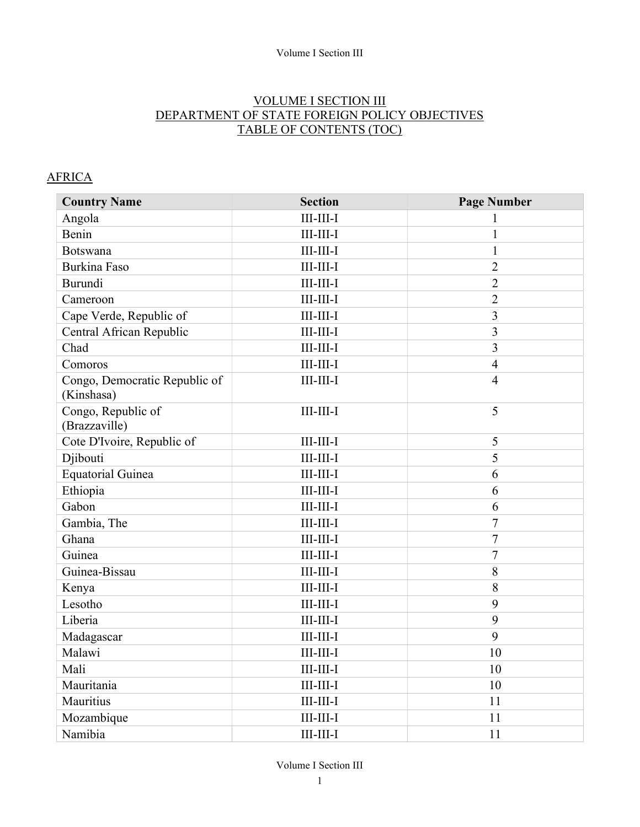#### Volume I Section III

### VOLUME I SECTION III DEPARTMENT OF STATE FOREIGN POLICY OBJECTIVES TABLE OF CONTENTS (TOC)

#### **AFRICA**

| <b>Country Name</b>                         | <b>Section</b>                | <b>Page Number</b> |
|---------------------------------------------|-------------------------------|--------------------|
| Angola                                      | $III$ - $III$ - $I$           | 1                  |
| Benin                                       | $III$ - $III$ - $I$           | 1                  |
| Botswana                                    | $III$ - $III$ - $I$           | $\mathbf{1}$       |
| <b>Burkina Faso</b>                         | $III$ -III-I                  | $\overline{2}$     |
| Burundi                                     | $III$ - $III$ - $I$           | $\overline{2}$     |
| Cameroon                                    | $III$ - $III$ - $I$           | $\overline{2}$     |
| Cape Verde, Republic of                     | $III$ - $III$ - $I$           | 3                  |
| Central African Republic                    | $III$ -III-I                  | 3                  |
| Chad                                        | $III$ - $III$ - $I$           | 3                  |
| Comoros                                     | $III$ - $III$ - $I$           | $\overline{4}$     |
| Congo, Democratic Republic of<br>(Kinshasa) | $III$ - $III$ - $I$           | $\overline{4}$     |
| Congo, Republic of<br>(Brazzaville)         | $III$ - $III$ - $I$           | 5                  |
| Cote D'Ivoire, Republic of                  | $III$ - $III$ - $I$           | 5                  |
| Djibouti                                    | $III$ - $III$ - $I$           | 5                  |
| <b>Equatorial Guinea</b>                    | $III$ - $III$ - $I$           | 6                  |
| Ethiopia                                    | $III$ - $III$ - $I$           | 6                  |
| Gabon                                       | $III$ - $III$ - $I$           | 6                  |
| Gambia, The                                 | $III$ - $III$ - $I$           | 7                  |
| Ghana                                       | $III$ - $III$ - $I$           | $\overline{7}$     |
| Guinea                                      | $III$ - $III$ - $I$           | $\overline{7}$     |
| Guinea-Bissau                               | $III$ - $III$ - $I$           | 8                  |
| Kenya                                       | $III$ - $III$ - $I$           | 8                  |
| Lesotho                                     | $III$ - $III$ - $I$           | 9                  |
| Liberia                                     | $\text{III-III-I}$            | 9                  |
| Madagascar                                  | $III$ - $III$ - $I$           | 9                  |
| Malawi                                      | $III$ - $III$ - $I$           | 10                 |
| Mali                                        | $III$ - $III$ - $I$           | 10                 |
| Mauritania                                  | $III$ - $III$ - $I$           | 10                 |
| Mauritius                                   | $\rm III\text{-}III\text{-}I$ | 11                 |
| Mozambique                                  | $III$ - $III$ - $I$           | 11                 |
| Namibia                                     | $\rm III\text{-}III\text{-}I$ | 11                 |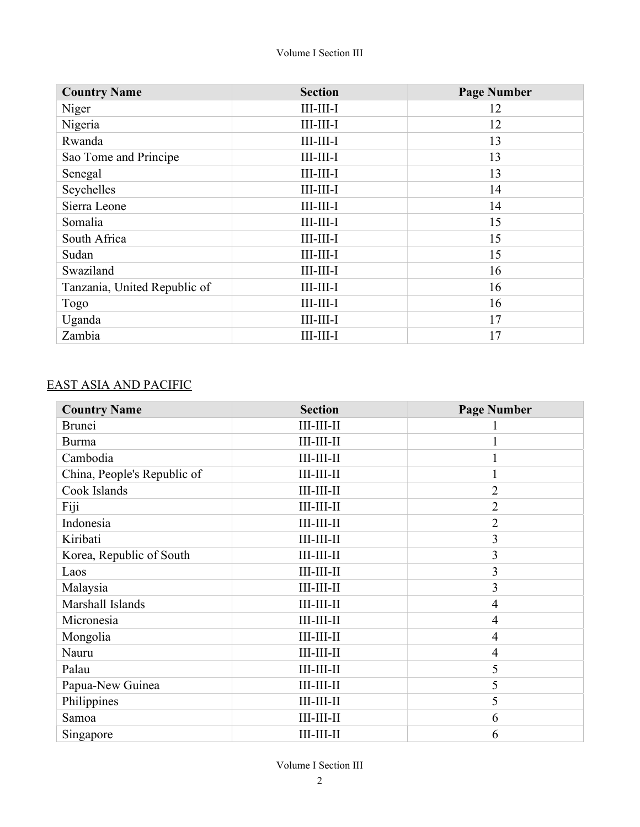| <b>Country Name</b>          | <b>Section</b>      | <b>Page Number</b> |
|------------------------------|---------------------|--------------------|
| Niger                        | $III$ - $III$ - $I$ | 12                 |
| Nigeria                      | $III$ - $III$ - $I$ | 12                 |
| Rwanda                       | $III$ - $III$ - $I$ | 13                 |
| Sao Tome and Principe        | $III$ - $III$ - $I$ | 13                 |
| Senegal                      | $III$ - $III$ - $I$ | 13                 |
| Seychelles                   | $III$ - $III$ - $I$ | 14                 |
| Sierra Leone                 | $III$ - $III$ - $I$ | 14                 |
| Somalia                      | $III$ - $III$ - $I$ | 15                 |
| South Africa                 | $III$ - $III$ - $I$ | 15                 |
| Sudan                        | $III$ - $III$ - $I$ | 15                 |
| Swaziland                    | $III$ - $III$ - $I$ | 16                 |
| Tanzania, United Republic of | $III$ - $III$ - $I$ | 16                 |
| Togo                         | $III$ - $III$ - $I$ | 16                 |
| Uganda                       | $III$ - $III$ - $I$ | 17                 |
| Zambia                       | $III$ - $III$ - $I$ | 17                 |

# EAST ASIA AND PACIFIC

| <b>Country Name</b>         | <b>Section</b>       | <b>Page Number</b> |
|-----------------------------|----------------------|--------------------|
| <b>Brunei</b>               | $III-III-II$         |                    |
| Burma                       | $III-III-II$         |                    |
| Cambodia                    | $III$ - $III$ - $II$ |                    |
| China, People's Republic of | $III$ - $III$ - $II$ | 1                  |
| Cook Islands                | $III$ - $III$ - $II$ | $\overline{2}$     |
| Fiji                        | $III$ - $III$ - $II$ | $\overline{2}$     |
| Indonesia                   | $III-III-II$         | $\overline{2}$     |
| Kiribati                    | $III$ - $III$ - $II$ | 3                  |
| Korea, Republic of South    | $III$ - $III$ - $II$ | 3                  |
| Laos                        | $III-III-II$         | 3                  |
| Malaysia                    | $III$ - $III$ - $II$ | 3                  |
| Marshall Islands            | $III-III-II$         | $\overline{4}$     |
| Micronesia                  | $III$ - $III$ - $II$ | $\overline{4}$     |
| Mongolia                    | $III-III-II$         | $\overline{4}$     |
| Nauru                       | $III$ - $III$ - $II$ | $\overline{4}$     |
| Palau                       | $III-III-II$         | 5                  |
| Papua-New Guinea            | $III$ - $III$ - $II$ | 5                  |
| Philippines                 | $III$ - $III$ - $II$ | 5                  |
| Samoa                       | $III$ - $III$ - $II$ | 6                  |
| Singapore                   | $III$ - $III$ - $II$ | 6                  |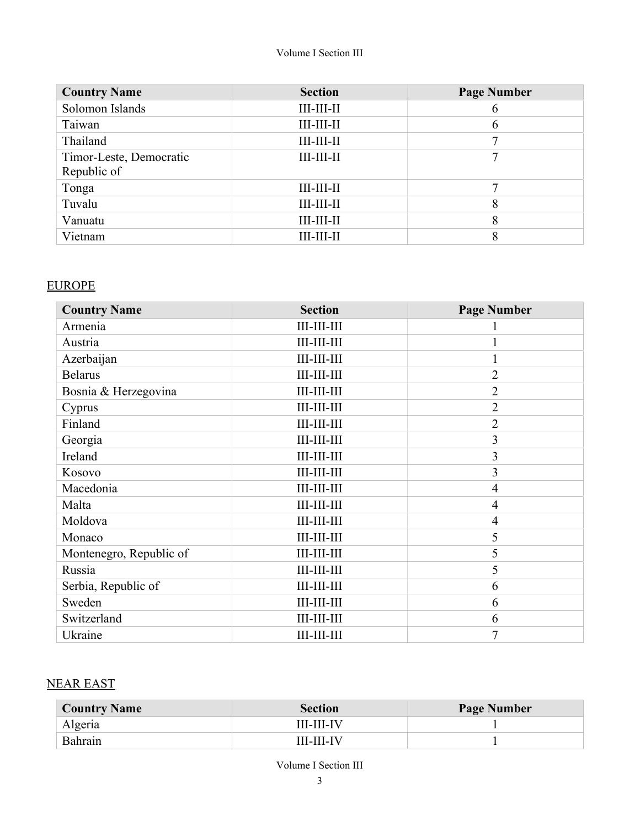| <b>Country Name</b>     | <b>Section</b>       | <b>Page Number</b> |
|-------------------------|----------------------|--------------------|
| Solomon Islands         | $III-III-II$         | 6                  |
| Taiwan                  | $III-III-II$         | 6                  |
| Thailand                | $III-III-II$         |                    |
| Timor-Leste, Democratic | $III-III-II$         | 7                  |
| Republic of             |                      |                    |
| Tonga                   | $III$ - $III$ - $II$ |                    |
| Tuvalu                  | $III-III-II$         | 8                  |
| Vanuatu                 | $III$ - $III$ - $II$ | 8                  |
| Vietnam                 | $III$ - $III$ - $II$ | 8                  |

#### EUROPE

| <b>Country Name</b>     | <b>Section</b>        | <b>Page Number</b> |
|-------------------------|-----------------------|--------------------|
| Armenia                 | $III$ - $III$ - $III$ |                    |
| Austria                 | $III$ - $III$ - $III$ | $\mathbf{1}$       |
| Azerbaijan              | $III-III-III$         | $\mathbf{I}$       |
| <b>Belarus</b>          | $III$ - $III$ - $III$ | $\overline{2}$     |
| Bosnia & Herzegovina    | $III$ - $III$ - $III$ | $\overline{2}$     |
| Cyprus                  | $III$ - $III$ - $III$ | $\overline{2}$     |
| Finland                 | $III$ - $III$ - $III$ | $\overline{2}$     |
| Georgia                 | $III$ - $III$ - $III$ | 3                  |
| Ireland                 | $III$ - $III$ - $III$ | 3                  |
| Kosovo                  | $III$ - $III$ - $III$ | 3                  |
| Macedonia               | $III$ - $III$ - $III$ | $\overline{4}$     |
| Malta                   | $III-III-III$         | $\overline{4}$     |
| Moldova                 | $III-III-III$         | $\overline{4}$     |
| Monaco                  | $III$ - $III$ - $III$ | 5                  |
| Montenegro, Republic of | $III-III-III$         | 5                  |
| Russia                  | $III$ - $III$ - $III$ | 5                  |
| Serbia, Republic of     | $III-III-III$         | 6                  |
| Sweden                  | $III$ - $III$ - $III$ | 6                  |
| Switzerland             | $III$ - $III$ - $III$ | 6                  |
| Ukraine                 | $III$ - $III$ - $III$ | $\overline{7}$     |

## NEAR EAST

| <b>Country Name</b> | <b>Section</b>    | <b>Page Number</b> |
|---------------------|-------------------|--------------------|
| Algeria             | <b>III-III-IV</b> |                    |
| Bahrain             | <b>III-III-IV</b> |                    |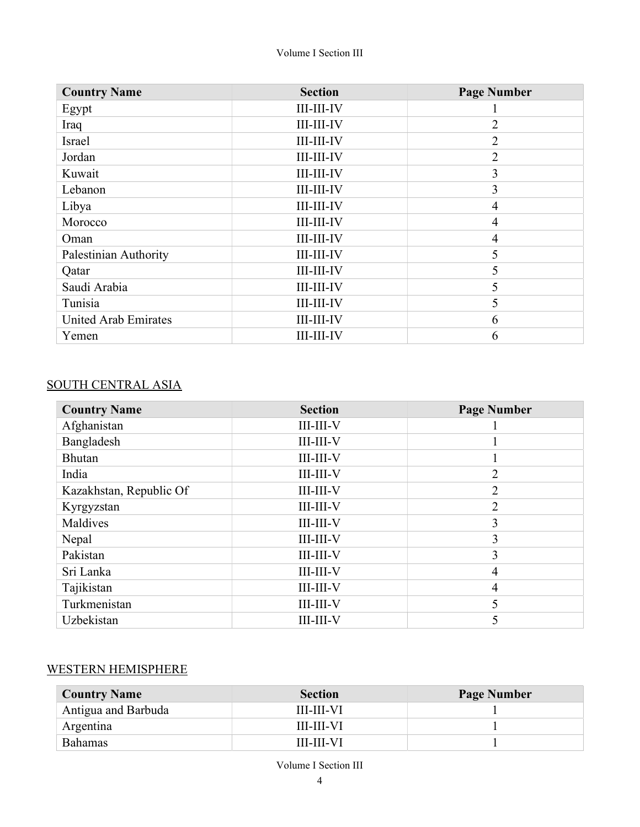| <b>Country Name</b>         | <b>Section</b>       | <b>Page Number</b> |
|-----------------------------|----------------------|--------------------|
| Egypt                       | <b>III-III-IV</b>    |                    |
| Iraq                        | <b>III-III-IV</b>    | $\overline{2}$     |
| Israel                      | <b>III-III-IV</b>    | $\overline{2}$     |
| Jordan                      | <b>III-III-IV</b>    | $\overline{2}$     |
| Kuwait                      | <b>III-III-IV</b>    | 3                  |
| Lebanon                     | <b>III-III-IV</b>    | 3                  |
| Libya                       | <b>III-III-IV</b>    | 4                  |
| Morocco                     | <b>III-III-IV</b>    | 4                  |
| Oman                        | III-III-IV           | 4                  |
| Palestinian Authority       | <b>III-III-IV</b>    | 5                  |
| Qatar                       | $III$ - $III$ - $IV$ | 5                  |
| Saudi Arabia                | <b>III-III-IV</b>    | 5                  |
| Tunisia                     | <b>III-III-IV</b>    | 5                  |
| <b>United Arab Emirates</b> | <b>III-III-IV</b>    | 6                  |
| Yemen                       | <b>III-III-IV</b>    | 6                  |

# SOUTH CENTRAL ASIA

| <b>Country Name</b>     | <b>Section</b>      | <b>Page Number</b> |
|-------------------------|---------------------|--------------------|
| Afghanistan             | $III$ - $III$ - $V$ |                    |
| Bangladesh              | $III$ - $III$ - $V$ |                    |
| <b>Bhutan</b>           | $III$ - $III$ - $V$ |                    |
| India                   | $III$ - $III$ - $V$ | $\overline{2}$     |
| Kazakhstan, Republic Of | $III$ - $III$ - $V$ | $\overline{2}$     |
| Kyrgyzstan              | $III$ - $III$ - $V$ | $\overline{2}$     |
| Maldives                | $III$ - $III$ - $V$ | 3                  |
| Nepal                   | $III$ - $III$ - $V$ | 3                  |
| Pakistan                | $III$ - $III$ - $V$ | 3                  |
| Sri Lanka               | $III$ - $III$ - $V$ | $\overline{4}$     |
| Tajikistan              | $III$ - $III$ - $V$ | $\overline{4}$     |
| Turkmenistan            | $III$ - $III$ - $V$ | 5                  |
| Uzbekistan              | <b>III-III-V</b>    |                    |

## WESTERN HEMISPHERE

| <b>Country Name</b> | <b>Section</b>    | <b>Page Number</b> |
|---------------------|-------------------|--------------------|
| Antigua and Barbuda | <b>III-III-VI</b> |                    |
| Argentina           | <b>III-III-VI</b> |                    |
| <b>Bahamas</b>      | <b>III-III-VI</b> |                    |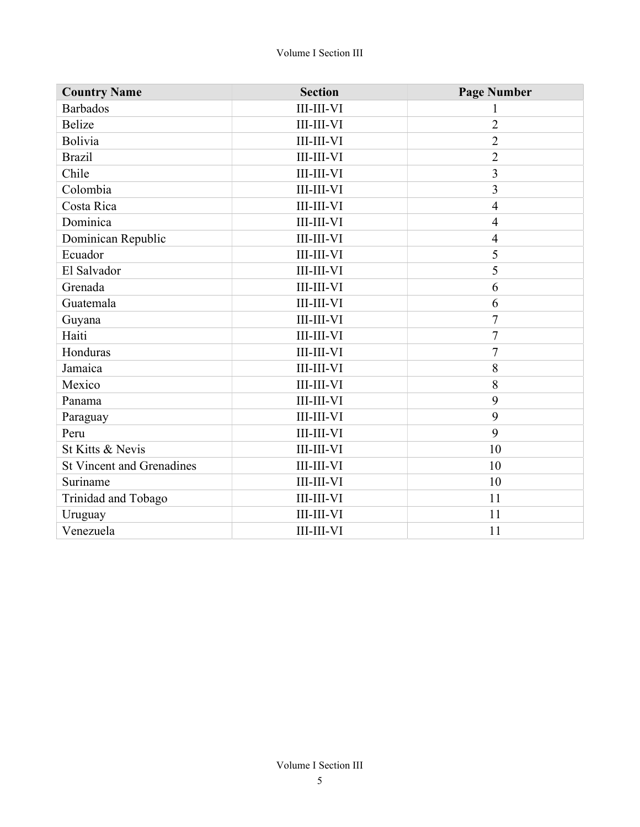| <b>Country Name</b>              | <b>Section</b>    | <b>Page Number</b>      |
|----------------------------------|-------------------|-------------------------|
| <b>Barbados</b>                  | <b>III-III-VI</b> | 1                       |
| Belize                           | <b>III-III-VI</b> | $\overline{2}$          |
| Bolivia                          | <b>III-III-VI</b> | $\overline{2}$          |
| <b>Brazil</b>                    | <b>III-III-VI</b> | $\overline{2}$          |
| Chile                            | <b>III-III-VI</b> | $\overline{\mathbf{3}}$ |
| Colombia                         | <b>III-III-VI</b> | $\overline{3}$          |
| Costa Rica                       | <b>III-III-VI</b> | $\overline{4}$          |
| Dominica                         | <b>III-III-VI</b> | $\overline{4}$          |
| Dominican Republic               | <b>III-III-VI</b> | $\overline{4}$          |
| Ecuador                          | <b>III-III-VI</b> | 5                       |
| El Salvador                      | <b>III-III-VI</b> | 5                       |
| Grenada                          | <b>III-III-VI</b> | 6                       |
| Guatemala                        | <b>III-III-VI</b> | 6                       |
| Guyana                           | <b>III-III-VI</b> | $\overline{7}$          |
| Haiti                            | <b>III-III-VI</b> | $\overline{7}$          |
| Honduras                         | <b>III-III-VI</b> | $\overline{7}$          |
| Jamaica                          | <b>III-III-VI</b> | 8                       |
| Mexico                           | <b>III-III-VI</b> | 8                       |
| Panama                           | <b>III-III-VI</b> | 9                       |
| Paraguay                         | <b>III-III-VI</b> | 9                       |
| Peru                             | <b>III-III-VI</b> | 9                       |
| St Kitts & Nevis                 | <b>III-III-VI</b> | 10                      |
| <b>St Vincent and Grenadines</b> | <b>III-III-VI</b> | 10                      |
| Suriname                         | <b>III-III-VI</b> | 10                      |
| Trinidad and Tobago              | <b>III-III-VI</b> | 11                      |
| Uruguay                          | <b>III-III-VI</b> | 11                      |
| Venezuela                        | <b>III-III-VI</b> | 11                      |